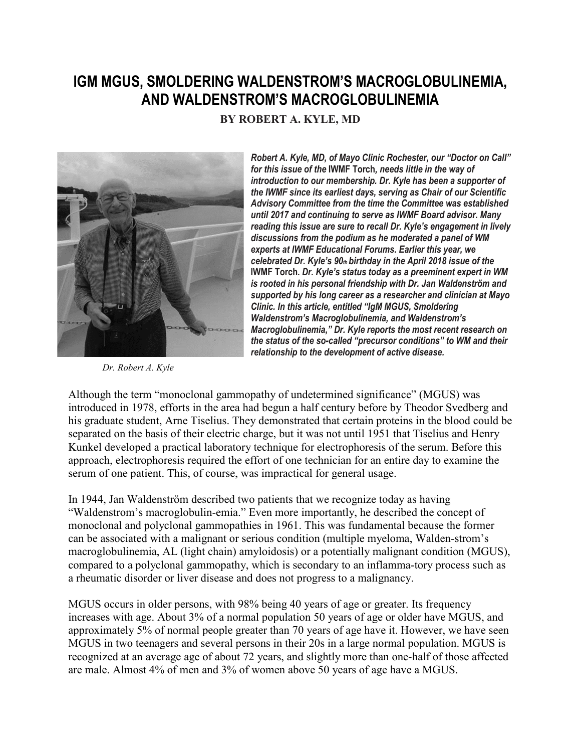## **IGM MGUS, SMOLDERING WALDENSTROM'S MACROGLOBULINEMIA, AND WALDENSTROM'S MACROGLOBULINEMIA**

**BY ROBERT A. KYLE, MD**



*Dr. Robert A. Kyle*

*Robert A. Kyle, MD, of Mayo Clinic Rochester, our "Doctor on Call" for this issue of the* **IWMF Torch***, needs little in the way of introduction to our membership. Dr. Kyle has been a supporter of the IWMF since its earliest days, serving as Chair of our Scientific Advisory Committee from the time the Committee was established until 2017 and continuing to serve as IWMF Board advisor. Many reading this issue are sure to recall Dr. Kyle's engagement in lively discussions from the podium as he moderated a panel of WM experts at IWMF Educational Forums. Earlier this year, we celebrated Dr. Kyle's 90th birthday in the April 2018 issue of the*  **IWMF Torch***. Dr. Kyle's status today as a preeminent expert in WM is rooted in his personal friendship with Dr. Jan Waldenström and supported by his long career as a researcher and clinician at Mayo Clinic. In this article, entitled "IgM MGUS, Smoldering Waldenstrom's Macroglobulinemia, and Waldenstrom's Macroglobulinemia," Dr. Kyle reports the most recent research on the status of the so-called "precursor conditions" to WM and their relationship to the development of active disease.*

Although the term "monoclonal gammopathy of undetermined significance" (MGUS) was introduced in 1978, efforts in the area had begun a half century before by Theodor Svedberg and his graduate student, Arne Tiselius. They demonstrated that certain proteins in the blood could be separated on the basis of their electric charge, but it was not until 1951 that Tiselius and Henry Kunkel developed a practical laboratory technique for electrophoresis of the serum. Before this approach, electrophoresis required the effort of one technician for an entire day to examine the serum of one patient. This, of course, was impractical for general usage.

In 1944, Jan Waldenström described two patients that we recognize today as having "Waldenstrom's macroglobulin-emia." Even more importantly, he described the concept of monoclonal and polyclonal gammopathies in 1961. This was fundamental because the former can be associated with a malignant or serious condition (multiple myeloma, Walden-strom's macroglobulinemia, AL (light chain) amyloidosis) or a potentially malignant condition (MGUS), compared to a polyclonal gammopathy, which is secondary to an inflamma-tory process such as a rheumatic disorder or liver disease and does not progress to a malignancy.

MGUS occurs in older persons, with 98% being 40 years of age or greater. Its frequency increases with age. About 3% of a normal population 50 years of age or older have MGUS, and approximately 5% of normal people greater than 70 years of age have it. However, we have seen MGUS in two teenagers and several persons in their 20s in a large normal population. MGUS is recognized at an average age of about 72 years, and slightly more than one-half of those affected are male. Almost 4% of men and 3% of women above 50 years of age have a MGUS.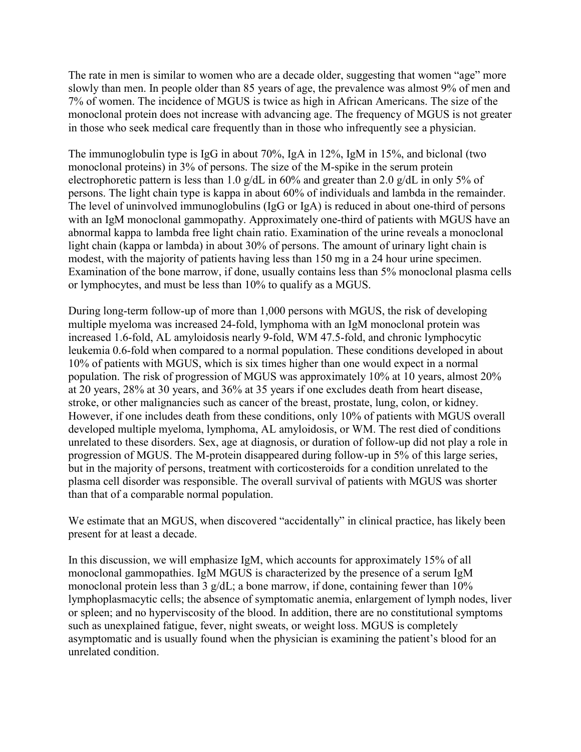The rate in men is similar to women who are a decade older, suggesting that women "age" more slowly than men. In people older than 85 years of age, the prevalence was almost 9% of men and 7% of women. The incidence of MGUS is twice as high in African Americans. The size of the monoclonal protein does not increase with advancing age. The frequency of MGUS is not greater in those who seek medical care frequently than in those who infrequently see a physician.

The immunoglobulin type is IgG in about 70%, IgA in 12%, IgM in 15%, and biclonal (two monoclonal proteins) in 3% of persons. The size of the M-spike in the serum protein electrophoretic pattern is less than 1.0 g/dL in 60% and greater than 2.0 g/dL in only 5% of persons. The light chain type is kappa in about 60% of individuals and lambda in the remainder. The level of uninvolved immunoglobulins (IgG or IgA) is reduced in about one-third of persons with an IgM monoclonal gammopathy. Approximately one-third of patients with MGUS have an abnormal kappa to lambda free light chain ratio. Examination of the urine reveals a monoclonal light chain (kappa or lambda) in about 30% of persons. The amount of urinary light chain is modest, with the majority of patients having less than 150 mg in a 24 hour urine specimen. Examination of the bone marrow, if done, usually contains less than 5% monoclonal plasma cells or lymphocytes, and must be less than 10% to qualify as a MGUS.

During long-term follow-up of more than 1,000 persons with MGUS, the risk of developing multiple myeloma was increased 24-fold, lymphoma with an IgM monoclonal protein was increased 1.6-fold, AL amyloidosis nearly 9-fold, WM 47.5-fold, and chronic lymphocytic leukemia 0.6-fold when compared to a normal population. These conditions developed in about 10% of patients with MGUS, which is six times higher than one would expect in a normal population. The risk of progression of MGUS was approximately 10% at 10 years, almost 20% at 20 years, 28% at 30 years, and 36% at 35 years if one excludes death from heart disease, stroke, or other malignancies such as cancer of the breast, prostate, lung, colon, or kidney. However, if one includes death from these conditions, only 10% of patients with MGUS overall developed multiple myeloma, lymphoma, AL amyloidosis, or WM. The rest died of conditions unrelated to these disorders. Sex, age at diagnosis, or duration of follow-up did not play a role in progression of MGUS. The M-protein disappeared during follow-up in 5% of this large series, but in the majority of persons, treatment with corticosteroids for a condition unrelated to the plasma cell disorder was responsible. The overall survival of patients with MGUS was shorter than that of a comparable normal population.

We estimate that an MGUS, when discovered "accidentally" in clinical practice, has likely been present for at least a decade.

In this discussion, we will emphasize IgM, which accounts for approximately 15% of all monoclonal gammopathies. IgM MGUS is characterized by the presence of a serum IgM monoclonal protein less than 3  $g/dL$ ; a bone marrow, if done, containing fewer than 10% lymphoplasmacytic cells; the absence of symptomatic anemia, enlargement of lymph nodes, liver or spleen; and no hyperviscosity of the blood. In addition, there are no constitutional symptoms such as unexplained fatigue, fever, night sweats, or weight loss. MGUS is completely asymptomatic and is usually found when the physician is examining the patient's blood for an unrelated condition.